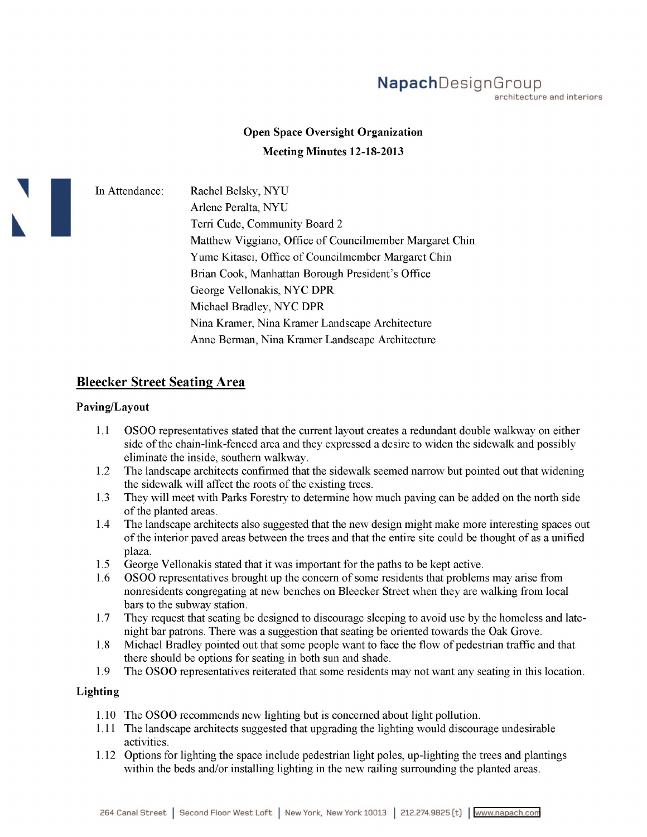# **Napach**DesignGroup

architecture and interiors

## **Open Space Oversight Organization Meeting Minutes 12-18-2013**

In Attendance: Rachel Belsky, NYU Arlene Peralta, NYU Terri Cude, Community Board 2 Matthew Viggiano, Office of Councilmember Margaret Chin Yume Kitasei, Office of Councilmember Margaret Chin Brian Cook, Manhattan Borough President's Office George Vellonakis, NYC DPR Michael Bradley, NYC DPR Nina Kramer, Nina Kramer Landscape Architecture Anne Berman, Nina Kramer Landscape Architecture

### **Bleecker Street Seating Area**

#### **Paving/Layout**

- 1.1 OSOO representatives stated that the current layout creates a redundant double walkway on either side ofthe chain-link-fenced area and they expressed a desire to widen the sidewalk and possibly eliminate the inside, southern walkway.
- 1.2 The landscape architects confirmed that the sidewalk seemed narrow but pointed out that widening the sidewalk will affect the roots of the existing trees.
- 1.3 They will meet with Parks Forestry to determine how much paving can be added on the north side of the planted areas.
- 1.4 The landscape architects also suggested that the new design might make more interesting spaces out ofthe interior paved areas between the trees and that the entire site could be thought of as a unified plaza.
- 1.5 George Vellonakis stated that it was important for the paths to be kept active.
- 1.6 OSOO representatives brought up the concern ofsome residents that problems may arise from nonresidents congregating at new benches on Bleecker Street when they are walking from local bars to the subway station.
- 1.7 They request that seating be designed to discourage sleeping to avoid use by the homeless and latenight bar patrons. There was a suggestion that seating be oriented towards the Oak Grove.
- 1.8 Michael Bradley pointed out that some people want to face the flow of pedestrian traffic and that there should be options for seating in both sun and shade.
- 1.9 The OSOO representatives reiterated that some residents may not want any seating in this location.

#### **Lighting**

- 1.10 The OSOO recommends new lighting but is concerned about light pollution.
- 1.11 The landscape architects suggested that upgrading the lighting would discourage undesirable activities.
- 1.12 Options for lighting the space include pedestrian light poles, up-lighting the trees and plantings within the beds and/or installing lighting in the new railing surrounding the planted areas.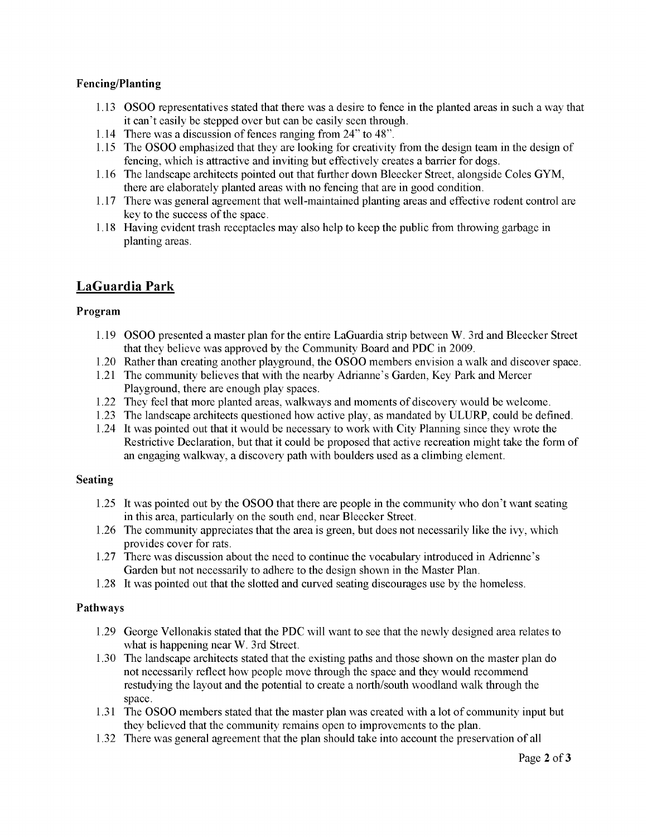#### **Fencing/Planting**

- 1.13 OSOO representatives stated that there was a desire to fence in the planted areas in such a way that it can't easily be stepped over but can be easily seen through.
- 1.14 There was a discussion of fences ranging from 24" to 48".
- 1.15 The OSOO emphasized that they are looking for creativity from the design team in the design of fencing, which is attractive and inviting but effectively creates a barrier for dogs.
- 1.16 The landscape architects pointed out that further down Bleecker Street, alongside Coles GYM, there are elaborately planted areas with no fencing that are in good condition.
- 1.17 There was general agreement that well-maintained planting areas and effective rodent control are key to the success of the space.
- 1.18 Having evident trash receptacles may also help to keep the public from throwing garbage in planting areas.

## **LaGuardia Park**

#### **Program**

- 1.19 OSOO presented a master plan for the entire LaGuardia strip between W. 3rd and Bleecker Street that they believe was approved by the Community Board and PDC in 2009.
- 1.20 Rather than creating another playground, the OSOO members envision a walk and discover space.
- 1.21 The community believes that with the nearby Adrianne's Garden, Key Park and Mercer Playground, there are enough play spaces.
- 1.22 They feel that more planted areas, walkways and moments of discovery would be welcome.
- 1.23 The landscape architects questioned how active play, as mandated by ULURP, could be defined.
- 1.24 It was pointed out that it would be necessary to work with City Planning since they wrote the Restrictive Declaration, but that it could be proposed that active recreation might take the form of an engaging walkway, a discovery path with boulders used as a climbing element.

#### **Seating**

- 1.25 It was pointed out by the OSOO that there are people in the community who don't want seating in this area, particularly on the south end, near Bleecker Street.
- 1.26 The community appreciates that the area is green, but does not necessarily like the ivy, which provides cover for rats.
- 1.27 There was discussion about the need to continue the vocabulary introduced in Adrienne's Garden but not necessarily to adhere to the design shown in the Master Plan.
- 1.28 It was pointed out that the slotted and curved seating discourages use by the homeless.

#### **Pathways**

- 1.29 George Vellonakisstated that the PDC will want to see that the newly designed area relates to what is happening near W. 3rd Street.
- 1.30 The landscape architects stated that the existing paths and those shown on the master plan do not necessarily reflect how people move through the space and they would recommend restudying the layout and the potential to create a north/south woodland walk through the space.
- 1.31 The OSOO members stated that the master plan was created with a lot of community input but they believed that the community remains open to improvements to the plan.
- 1.32 There was general agreement that the plan should take into account the preservation of all 1.32 There was general agreement that